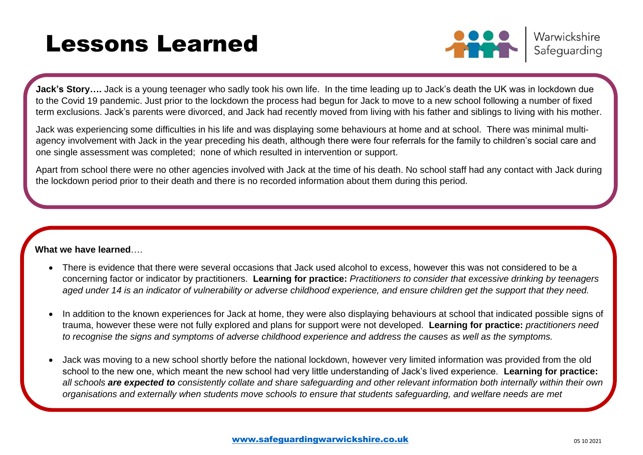# Lessons Learned



Warwickshire Safeguarding

**Jack's Story….** Jack is a young teenager who sadly took his own life. In the time leading up to Jack's death the UK was in lockdown due to the Covid 19 pandemic. Just prior to the lockdown the process had begun for Jack to move to a new school following a number of fixed term exclusions. Jack's parents were divorced, and Jack had recently moved from living with his father and siblings to living with his mother.

Jack was experiencing some difficulties in his life and was displaying some behaviours at home and at school. There was minimal multiagency involvement with Jack in the year preceding his death, although there were four referrals for the family to children's social care and one single assessment was completed; none of which resulted in intervention or support.

Apart from school there were no other agencies involved with Jack at the time of his death. No school staff had any contact with Jack during the lockdown period prior to their death and there is no recorded information about them during this period.

## **What we have learned**….

- There is evidence that there were several occasions that Jack used alcohol to excess, however this was not considered to be a concerning factor or indicator by practitioners. **Learning for practice:** *Practitioners to consider that excessive drinking by teenagers aged under 14 is an indicator of vulnerability or adverse childhood experience, and ensure children get the support that they need.*
- In addition to the known experiences for Jack at home, they were also displaying behaviours at school that indicated possible signs of trauma, however these were not fully explored and plans for support were not developed. **Learning for practice:** *practitioners need to recognise the signs and symptoms of adverse childhood experience and address the causes as well as the symptoms.*
- Jack was moving to a new school shortly before the national lockdown, however very limited information was provided from the old school to the new one, which meant the new school had very little understanding of Jack's lived experience. **Learning for practice:**  *all schools are expected to consistently collate and share safeguarding and other relevant information both internally within their own organisations and externally when students move schools to ensure that students safeguarding, and welfare needs are met*